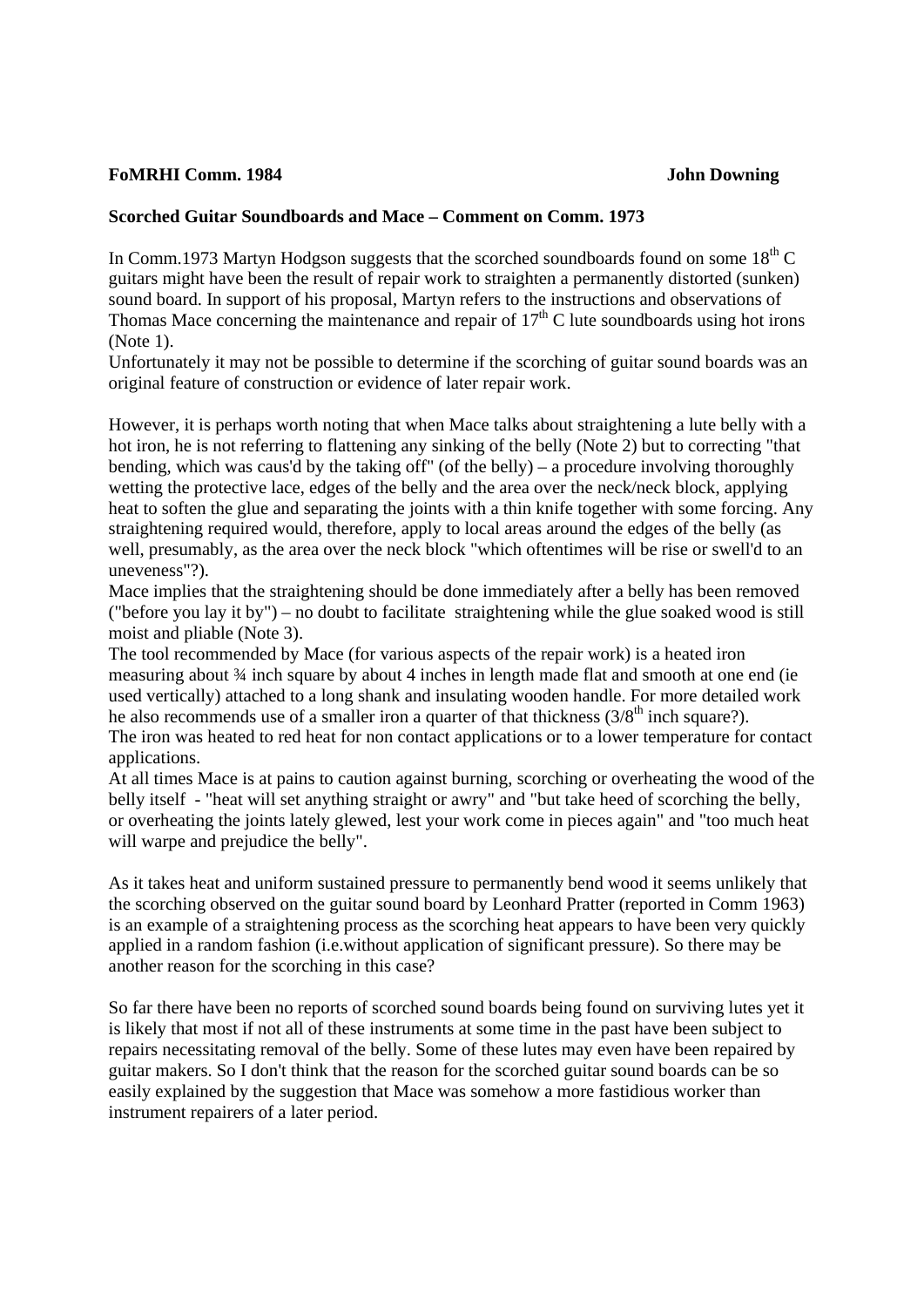## **FoMRHI Comm. 1984 John Downing**

## **Scorched Guitar Soundboards and Mace – Comment on Comm. 1973**

In Comm.1973 Martyn Hodgson suggests that the scorched soundboards found on some  $18<sup>th</sup>$ C guitars might have been the result of repair work to straighten a permanently distorted (sunken) sound board. In support of his proposal, Martyn refers to the instructions and observations of Thomas Mace concerning the maintenance and repair of  $17<sup>th</sup>$ C lute soundboards using hot irons (Note 1).

Unfortunately it may not be possible to determine if the scorching of guitar sound boards was an original feature of construction or evidence of later repair work.

However, it is perhaps worth noting that when Mace talks about straightening a lute belly with a hot iron, he is not referring to flattening any sinking of the belly (Note 2) but to correcting "that bending, which was caus'd by the taking off" (of the belly) – a procedure involving thoroughly wetting the protective lace, edges of the belly and the area over the neck/neck block, applying heat to soften the glue and separating the joints with a thin knife together with some forcing. Any straightening required would, therefore, apply to local areas around the edges of the belly (as well, presumably, as the area over the neck block "which oftentimes will be rise or swell'd to an uneveness"?).

Mace implies that the straightening should be done immediately after a belly has been removed ("before you lay it by") – no doubt to facilitate straightening while the glue soaked wood is still moist and pliable (Note 3).

The tool recommended by Mace (for various aspects of the repair work) is a heated iron measuring about ¾ inch square by about 4 inches in length made flat and smooth at one end (ie used vertically) attached to a long shank and insulating wooden handle. For more detailed work he also recommends use of a smaller iron a quarter of that thickness  $(3/8<sup>th</sup>$  inch square?).

The iron was heated to red heat for non contact applications or to a lower temperature for contact applications.

At all times Mace is at pains to caution against burning, scorching or overheating the wood of the belly itself - "heat will set anything straight or awry" and "but take heed of scorching the belly, or overheating the joints lately glewed, lest your work come in pieces again" and "too much heat will warpe and prejudice the belly".

As it takes heat and uniform sustained pressure to permanently bend wood it seems unlikely that the scorching observed on the guitar sound board by Leonhard Pratter (reported in Comm 1963) is an example of a straightening process as the scorching heat appears to have been very quickly applied in a random fashion (i.e.without application of significant pressure). So there may be another reason for the scorching in this case?

So far there have been no reports of scorched sound boards being found on surviving lutes yet it is likely that most if not all of these instruments at some time in the past have been subject to repairs necessitating removal of the belly. Some of these lutes may even have been repaired by guitar makers. So I don't think that the reason for the scorched guitar sound boards can be so easily explained by the suggestion that Mace was somehow a more fastidious worker than instrument repairers of a later period.